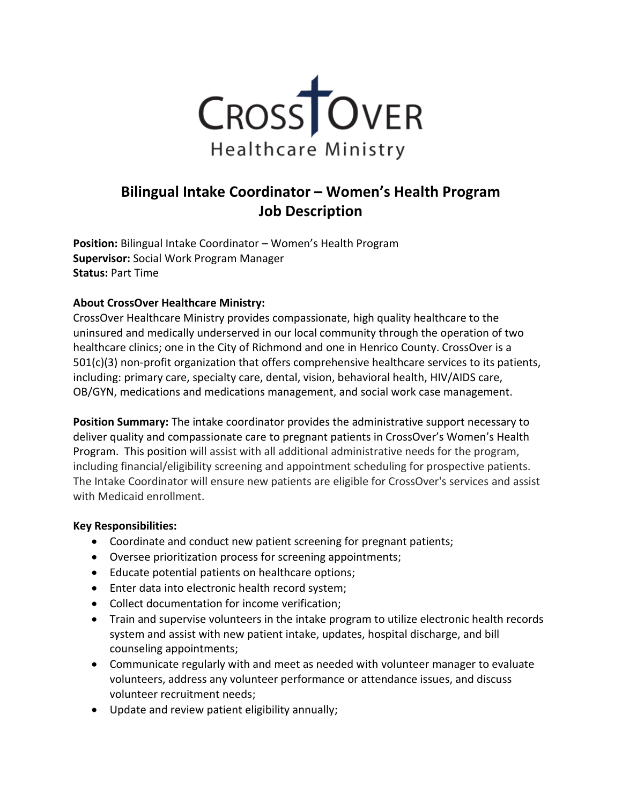

# **Bilingual Intake Coordinator – Women's Health Program Job Description**

**Position:** Bilingual Intake Coordinator – Women's Health Program **Supervisor:** Social Work Program Manager **Status:** Part Time

## **About CrossOver Healthcare Ministry:**

CrossOver Healthcare Ministry provides compassionate, high quality healthcare to the uninsured and medically underserved in our local community through the operation of two healthcare clinics; one in the City of Richmond and one in Henrico County. CrossOver is a 501(c)(3) non-profit organization that offers comprehensive healthcare services to its patients, including: primary care, specialty care, dental, vision, behavioral health, HIV/AIDS care, OB/GYN, medications and medications management, and social work case management.

**Position Summary:** The intake coordinator provides the administrative support necessary to deliver quality and compassionate care to pregnant patients in CrossOver's Women's Health Program. This position will assist with all additional administrative needs for the program, including financial/eligibility screening and appointment scheduling for prospective patients. The Intake Coordinator will ensure new patients are eligible for CrossOver's services and assist with Medicaid enrollment.

#### **Key Responsibilities:**

- Coordinate and conduct new patient screening for pregnant patients;
- Oversee prioritization process for screening appointments;
- Educate potential patients on healthcare options;
- Enter data into electronic health record system;
- Collect documentation for income verification;
- Train and supervise volunteers in the intake program to utilize electronic health records system and assist with new patient intake, updates, hospital discharge, and bill counseling appointments;
- Communicate regularly with and meet as needed with volunteer manager to evaluate volunteers, address any volunteer performance or attendance issues, and discuss volunteer recruitment needs;
- Update and review patient eligibility annually;